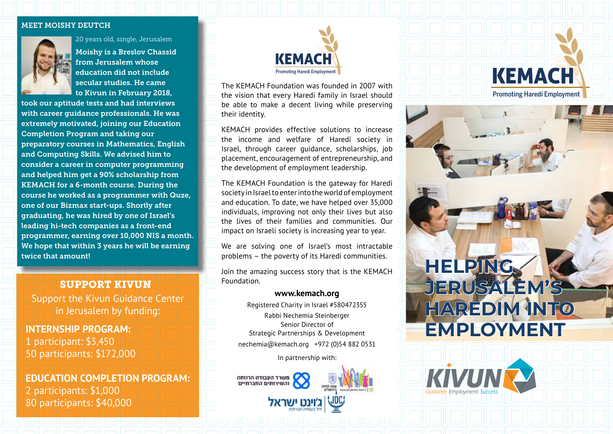#### MEET MOISHY DEUTCH



20 years old, single, Jerusalem

Moishy is a Breslov Chassid from Jerusalem whose education did not include secular studies. He came to Kivun in February 2018,

took our aptitude tests and had interviews with career guidance professionals. He was extremely motivated, joining our Education Completion Program and taking our preparatory courses in Mathematics, English and Computing Skills. We advised him to consider a career in computer programming and helped him get a 90% scholarship from KEMACH for a 6-month course. During the course he worked as a programmer with Quze, one of our Bizmax start-ups. Shortly after graduating, he was hired by one of Israel's leading hi-tech companies as a front-end programmer, earning over 10,000 NIS a month. We hope that within 3 years he will be earning twice that amount!

## SUPPORT KIVUN

Support the Kivun Guidance Center in Jerusalem by funding:

**INTERNSHIP PROGRAM:** 1 participant: \$3,450 50 participants: \$172,000

**EDUCATION COMPLETION PROGRAM:** 2 participants: \$1,000 80 participants: \$40,000



The KEMACH Foundation was founded in 2007 with the vision that every Haredi family in Israel should be able to make a decent living while preserving their identity.

KEMACH provides effective solutions to increase the income and welfare of Haredi society in Israel, through career guidance, scholarships, job placement, encouragement of entrepreneurship, and the development of employment leadership.

The KEMACH Foundation is the gateway for Haredi society in Israel to enter into the world of employment and education. To date, we have helped over 35,000 individuals, improving not only their lives but also the lives of their families and communities. Our impact on Israeli society is increasing year to year.

We are solving one of Israel's most intractable problems – the poverty of its Haredi communities.

Join the amazing success story that is the KEMACH Foundation.

### **www.kemach.org**

Registered Charity in Israel #580472355 Rabbi Nechemia Steinberger Senior Director of Strategic Partnerships & Development nechemia@kemach.org +972 (0)54 882 0531

In partnership with:



# **HELPING JERUSALEM'S HAREDIM INTO EMPLOYMENT**

KEMACH

Promoting Haredi Employment